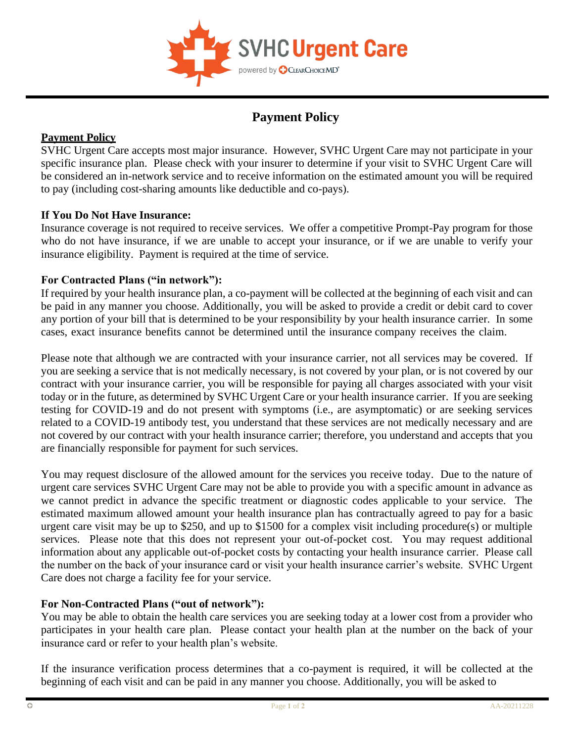

# **Payment Policy**

## **Payment Policy**

SVHC Urgent Care accepts most major insurance. However, SVHC Urgent Care may not participate in your specific insurance plan. Please check with your insurer to determine if your visit to SVHC Urgent Care will be considered an in-network service and to receive information on the estimated amount you will be required to pay (including cost-sharing amounts like deductible and co-pays).

### **If You Do Not Have Insurance:**

Insurance coverage is not required to receive services. We offer a competitive Prompt-Pay program for those who do not have insurance, if we are unable to accept your insurance, or if we are unable to verify your insurance eligibility. Payment is required at the time of service.

### **For Contracted Plans ("in network"):**

If required by your health insurance plan, a co-payment will be collected at the beginning of each visit and can be paid in any manner you choose. Additionally, you will be asked to provide a credit or debit card to cover any portion of your bill that is determined to be your responsibility by your health insurance carrier. In some cases, exact insurance benefits cannot be determined until the insurance company receives the claim.

Please note that although we are contracted with your insurance carrier, not all services may be covered. If you are seeking a service that is not medically necessary, is not covered by your plan, or is not covered by our contract with your insurance carrier, you will be responsible for paying all charges associated with your visit today or in the future, as determined by SVHC Urgent Care or your health insurance carrier. If you are seeking testing for COVID-19 and do not present with symptoms (i.e., are asymptomatic) or are seeking services related to a COVID-19 antibody test, you understand that these services are not medically necessary and are not covered by our contract with your health insurance carrier; therefore, you understand and accepts that you are financially responsible for payment for such services.

You may request disclosure of the allowed amount for the services you receive today. Due to the nature of urgent care services SVHC Urgent Care may not be able to provide you with a specific amount in advance as we cannot predict in advance the specific treatment or diagnostic codes applicable to your service. The estimated maximum allowed amount your health insurance plan has contractually agreed to pay for a basic urgent care visit may be up to \$250, and up to \$1500 for a complex visit including procedure(s) or multiple services. Please note that this does not represent your out-of-pocket cost. You may request additional information about any applicable out-of-pocket costs by contacting your health insurance carrier. Please call the number on the back of your insurance card or visit your health insurance carrier's website. SVHC Urgent Care does not charge a facility fee for your service.

## **For Non-Contracted Plans ("out of network"):**

You may be able to obtain the health care services you are seeking today at a lower cost from a provider who participates in your health care plan. Please contact your health plan at the number on the back of your insurance card or refer to your health plan's website.

If the insurance verification process determines that a co-payment is required, it will be collected at the beginning of each visit and can be paid in any manner you choose. Additionally, you will be asked to